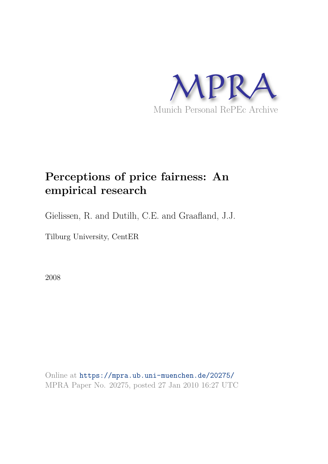

# **Perceptions of price fairness: An empirical research**

Gielissen, R. and Dutilh, C.E. and Graafland, J.J.

Tilburg University, CentER

2008

Online at https://mpra.ub.uni-muenchen.de/20275/ MPRA Paper No. 20275, posted 27 Jan 2010 16:27 UTC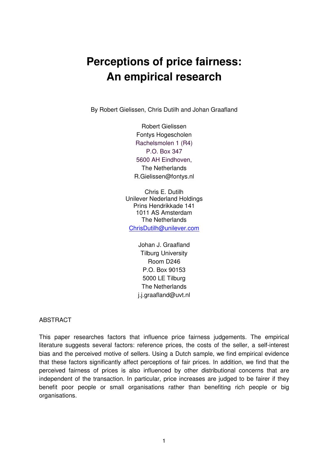# **Perceptions of price fairness: An empirical research**

By Robert Gielissen, Chris Dutilh and Johan Graafland

Robert Gielissen Fontys Hogescholen Rachelsmolen 1 (R4) P.O. Box 347 5600 AH Eindhoven, The Netherlands R.Gielissen@fontys.nl

Chris E. Dutilh Unilever Nederland Holdings Prins Hendrikkade 141 1011 AS Amsterdam The Netherlands ChrisDutilh@unilever.com

> Johan J. Graafland Tilburg University Room D246 P.O. Box 90153 5000 LE Tilburg The Netherlands j.j.graafland@uvt.nl

ABSTRACT

This paper researches factors that influence price fairness judgements. The empirical literature suggests several factors: reference prices, the costs of the seller, a self-interest bias and the perceived motive of sellers. Using a Dutch sample, we find empirical evidence that these factors significantly affect perceptions of fair prices. In addition, we find that the perceived fairness of prices is also influenced by other distributional concerns that are independent of the transaction. In particular, price increases are judged to be fairer if they benefit poor people or small organisations rather than benefiting rich people or big organisations.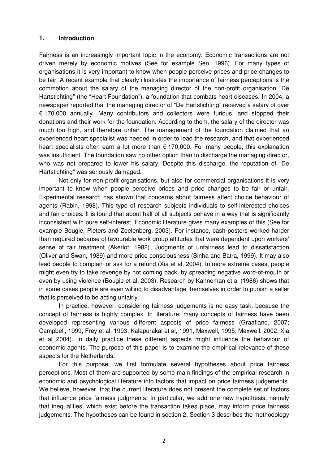Fairness is an increasingly important topic in the economy. Economic transactions are not driven merely by economic motives (See for example Sen, 1996). For many types of organisations it is very important to know when people perceive prices and price changes to be fair. A recent example that clearly illustrates the importance of fairness perceptions is the commotion about the salary of the managing director of the non-profit organisation "De Hartstichting" (the "Heart Foundation"), a foundation that combats heart diseases. In 2004, a newspaper reported that the managing director of "De Hartstichting" received a salary of over € 170,000 annually. Many contributors and collectors were furious, and stopped their donations and their work for the foundation. According to them, the salary of the director was much too high, and therefore unfair. The management of the foundation claimed that an experienced heart specialist was needed in order to lead the research, and that experienced heart specialists often earn a lot more than  $\epsilon$  170,000. For many people, this explanation was insufficient. The foundation saw no other option than to discharge the managing director, who was not prepared to lower his salary. Despite this discharge, the reputation of "De Hartstichting" was seriously damaged.

**1. Introduction**<br> **1. Introduction**<br> **Fairness is an increasingly important topic in<br>
divien merely by economic motives (See for<br>
organisations it is very important to know where<br>
be fair. A recent example that clearly il** Not only for non-profit organisations, but also for commercial organisations it is very important to know when people perceive prices and price changes to be fair or unfair. Experimental research has shown that concerns about fairness affect choice behaviour of agents (Rabin, 1998). This type of research subjects individuals to self-interested choices and fair choices. It is found that about half of all subjects behave in a way that is significantly inconsistent with pure self-interest. Economic literature gives many examples of this (See for example Bougie, Pieters and Zeelenberg, 2003). For instance, cash posters worked harder than required because of favourable work group attitudes that were dependent upon workers' sense of fair treatment (Akerlof, 1982). Judgments of unfairness lead to dissatisfaction (Oliver and Swan, 1989) and more price consciousness (Sinha and Batra, 1999). It may also lead people to complain or ask for a refund (Xia et al, 2004). In more extreme cases, people might even try to take revenge by not coming back, by spreading negative word-of-mouth or even by using violence (Bougie et al, 2003). Research by Kahneman et al (1986) shows that in some cases people are even willing to disadvantage themselves in order to punish a seller that is perceived to be acting unfairly.

In practice, however, considering fairness judgements is no easy task, because the concept of fairness is highly complex. In literature, many concepts of fairness have been developed representing various different aspects of price fairness (Graafland, 2007; Campbell, 1999; Frey et al, 1993; Kalapurakal et al, 1991, Maxwell, 1995; Maxwell, 2002; Xia et al 2004). In daily practice these different aspects might influence the behaviour of economic agents. The purpose of this paper is to examine the empirical relevance of these aspects for the Netherlands.

For this purpose, we first formulate several hypotheses about price fairness perceptions. Most of them are supported by some main findings of the empirical research in economic and psychological literature into factors that impact on price fairness judgements. We believe, however, that the current literature does not present the complete set of factors that influence price fairness judgments. In particular, we add one new hypothesis, namely that inequalities, which exist before the transaction takes place, may inform price fairness judgements. The hypotheses can be found in section 2. Section 3 describes the methodology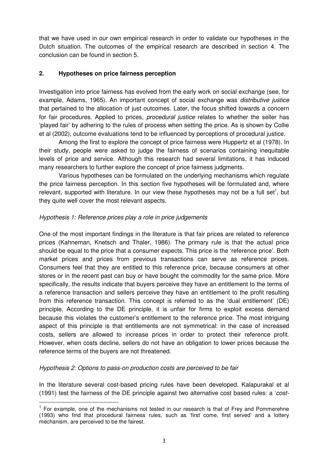that we have used in our own empirical research in order to validate our hypotheses in the Dutch situation. The outcomes of the empirical research are described in section 4. The conclusion can be found in section 5.

# **2. Hypotheses on price fairness perception**

Investigation into price fairness has evolved from the early work on social exchange (see, for example, Adams, 1965). An important concept of social exchange was *distributive justice* that pertained to the allocation of just outcomes. Later, the focus shifted towards a concern for fair procedures. Applied to prices, *procedural justice* relates to whether the seller has 'played fair' by adhering to the rules of process when setting the price. As is shown by Collie et al (2002), outcome evaluations tend to be influenced by perceptions of procedural justice.

Among the first to explore the concept of price fairness were Huppertz et al (1978). In their study, people were asked to judge the fairness of scenarios containing inequitable levels of price and service. Although this research had several limitations, it has induced many researchers to further explore the concept of price fairness judgments.

Various hypotheses can be formulated on the underlying mechanisms which regulate the price fairness perception. In this section five hypotheses will be formulated and, where relevant, supported with literature. In our view these hypotheses may not be a full set<sup>1</sup>, but they quite well cover the most relevant aspects.

## *Hypothesis 1: Reference prices play a role in price judgements*

One of the most important findings in the literature is that fair prices are related to reference prices (Kahneman, Knetsch and Thaler, 1986). The primary rule is that the actual price should be equal to the price that a consumer expects. This price is the 'reference price'. Both market prices and prices from previous transactions can serve as reference prices. Consumers feel that they are entitled to this reference price, because consumers at other stores or in the recent past can buy or have bought the commodity for the same price. More specifically, the results indicate that buyers perceive they have an entitlement to the terms of a reference transaction and sellers perceive they have an entitlement to the profit resulting from this reference transaction. This concept is referred to as the 'dual entitlement' (DE) principle. According to the DE principle, it is unfair for firms to exploit excess demand because this violates the customer's entitlement to the reference price. The most intriguing aspect of this principle is that entitlements are not symmetrical: in the case of increased costs, sellers are allowed to increase prices in order to protect their reference profit. However, when costs decline, sellers do not have an obligation to lower prices because the reference terms of the buyers are not threatened.

# *Hypothesis 2: Options to pass-on production costs are perceived to be fair*

<u> 1989 - Johann Barn, mars ann an t-Amhair an t-Amhair an t-Amhair an t-Amhair an t-Amhair an t-Amhair an t-Amh</u>

In the literature several cost-based pricing rules have been developed. Kalapurakal et al (1991) test the fairness of the DE principle against two alternative cost based rules: a '*cost-*

<sup>&</sup>lt;sup>1</sup> For example, one of the mechanisms not tested in our research is that of Frey and Pommerehne (1993) who find that procedural fairness rules, such as 'first come, first served' and a lottery mechanism, are perceived to be the fairest.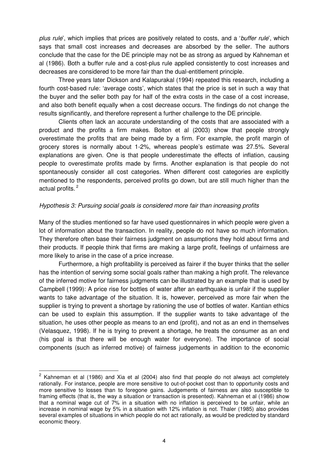*plus rule*', which implies that prices are positively related to costs, and a '*buffer rule*', which says that small cost increases and decreases are absorbed by the seller. The authors conclude that the case for the DE principle may not be as strong as argued by Kahneman et al (1986). Both a buffer rule and a cost-plus rule applied consistently to cost increases and decreases are considered to be more fair than the dual-entitlement principle.

Three years later Dickson and Kalapurakal (1994) repeated this research, including a fourth cost-based rule: 'average costs', which states that the price is set in such a way that the buyer and the seller both pay for half of the extra costs in the case of a cost increase, and also both benefit equally when a cost decrease occurs. The findings do not change the results significantly, and therefore represent a further challenge to the DE principle.

Clients often lack an accurate understanding of the costs that are associated with a product and the profits a firm makes. Bolton et al (2003) show that people strongly overestimate the profits that are being made by a firm. For example, the profit margin of grocery stores is normally about 1-2%, whereas people's estimate was 27.5%. Several explanations are given. One is that people underestimate the effects of inflation, causing people to overestimate profits made by firms. Another explanation is that people do not spontaneously consider all cost categories. When different cost categories are explicitly mentioned to the respondents, perceived profits go down, but are still much higher than the actual profits.<sup>2</sup>

#### *Hypothesis 3: Pursuing social goals is considered more fair than increasing profits*

Many of the studies mentioned so far have used questionnaires in which people were given a lot of information about the transaction. In reality, people do not have so much information. They therefore often base their fairness judgment on assumptions they hold about firms and their products. If people think that firms are making a large profit, feelings of unfairness are more likely to arise in the case of a price increase.

Furthermore, a high profitability is perceived as fairer if the buyer thinks that the seller has the intention of serving some social goals rather than making a high profit. The relevance of the inferred motive for fairness judgments can be illustrated by an example that is used by Campbell (1999): A price rise for bottles of water after an earthquake is unfair if the supplier wants to take advantage of the situation. It is, however, perceived as more fair when the supplier is trying to prevent a shortage by rationing the use of bottles of water. Kantian ethics can be used to explain this assumption. If the supplier wants to take advantage of the situation, he uses other people as means to an end (profit), and not as an end in themselves (Velasquez, 1998). If he is trying to prevent a shortage, he treats the consumer as an end (his goal is that there will be enough water for everyone). The importance of social components (such as inferred motive) of fairness judgements in addition to the economic

<u> 1980 - Johann Barn, mars an t-Amerikaansk komponister (</u>

 $2$  Kahneman et al (1986) and Xia et al (2004) also find that people do not always act completely rationally. For instance, people are more sensitive to out-of-pocket cost than to opportunity costs and more sensitive to losses than to foregone gains. Judgements of fairness are also susceptible to framing effects (that is, the way a situation or transaction is presented). Kahneman et al (1986) show that a nominal wage cut of 7% in a situation with no inflation is perceived to be unfair, while an increase in nominal wage by 5% in a situation with 12% inflation is not. Thaler (1985) also provides several examples of situations in which people do not act rationally, as would be predicted by standard economic theory.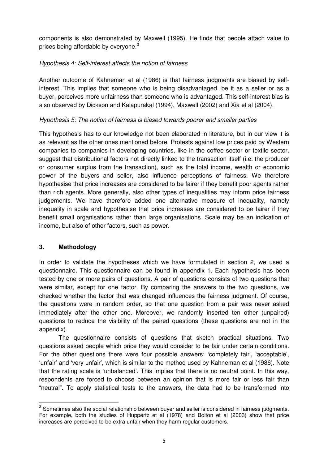components is also demonstrated by Maxwell (1995). He finds that people attach value to prices being affordable by everyone.<sup>3</sup>

# *Hypothesis 4: Self-interest affects the notion of fairness*

Another outcome of Kahneman et al (1986) is that fairness judgments are biased by selfinterest. This implies that someone who is being disadvantaged, be it as a seller or as a buyer, perceives more unfairness than someone who is advantaged. This self-interest bias is also observed by Dickson and Kalapurakal (1994), Maxwell (2002) and Xia et al (2004).

# *Hypothesis 5: The notion of fairness is biased towards poorer and smaller parties*

This hypothesis has to our knowledge not been elaborated in literature, but in our view it is as relevant as the other ones mentioned before. Protests against low prices paid by Western companies to companies in developing countries, like in the coffee sector or textile sector, suggest that distributional factors not directly linked to the transaction itself (i.e. the producer or consumer surplus from the transaction), such as the total income, wealth or economic power of the buyers and seller, also influence perceptions of fairness. We therefore hypothesise that price increases are considered to be fairer if they benefit poor agents rather than rich agents. More generally, also other types of inequalities may inform price fairness judgements. We have therefore added one alternative measure of inequality, namely inequality in scale and hypothesise that price increases are considered to be fairer if they benefit small organisations rather than large organisations. Scale may be an indication of income, but also of other factors, such as power.

# **3. Methodology**

<u> 1989 - Johann Barn, mars ann an t-Amhair an t-Amhair an t-Amhair an t-Amhair an t-Amhair an t-Amhair an t-Amh</u>

In order to validate the hypotheses which we have formulated in section 2, we used a questionnaire. This questionnaire can be found in appendix 1. Each hypothesis has been tested by one or more pairs of questions. A pair of questions consists of two questions that were similar, except for one factor. By comparing the answers to the two questions, we checked whether the factor that was changed influences the fairness judgment. Of course, the questions were in random order, so that one question from a pair was never asked immediately after the other one. Moreover, we randomly inserted ten other (unpaired) questions to reduce the visibility of the paired questions (these questions are not in the appendix)

The questionnaire consists of questions that sketch practical situations. Two questions asked people which price they would consider to be fair under certain conditions. For the other questions there were four possible answers: 'completely fair', 'acceptable', 'unfair' and 'very unfair', which is similar to the method used by Kahneman et al (1986). Note that the rating scale is 'unbalanced'. This implies that there is no neutral point. In this way, respondents are forced to choose between an opinion that is more fair or less fair than "neutral". To apply statistical tests to the answers, the data had to be transformed into

 $3$  Sometimes also the social relationship between buyer and seller is considered in fairness judgments. For example, both the studies of Huppertz et al (1978) and Bolton et al (2003) show that price increases are perceived to be extra unfair when they harm regular customers.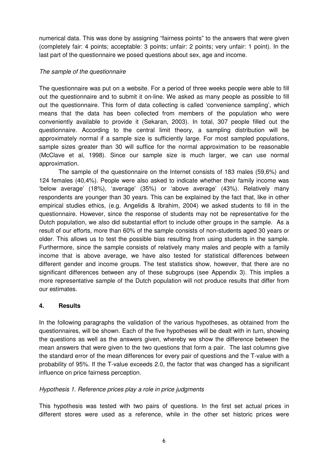numerical data. This was done by assigning "fairness points" to the answers that were given (completely fair: 4 points; acceptable: 3 points; unfair: 2 points; very unfair: 1 point). In the last part of the questionnaire we posed questions about sex, age and income.

## *The sample of the questionnaire*

The questionnaire was put on a website. For a period of three weeks people were able to fill out the questionnaire and to submit it on-line. We asked as many people as possible to fill out the questionnaire. This form of data collecting is called 'convenience sampling', which means that the data has been collected from members of the population who were conveniently available to provide it (Sekaran, 2003). In total, 307 people filled out the questionnaire. According to the central limit theory, a sampling distribution will be approximately normal if a sample size is sufficiently large. For most sampled populations, sample sizes greater than 30 will suffice for the normal approximation to be reasonable (McClave et al, 1998). Since our sample size is much larger, we can use normal approximation.

The sample of the questionnaire on the Internet consists of 183 males (59,6%) and 124 females (40,4%). People were also asked to indicate whether their family income was 'below average' (18%), 'average' (35%) or 'above average' (43%). Relatively many respondents are younger than 30 years. This can be explained by the fact that, like in other empirical studies ethics, (e.g. Angelidis & Ibrahim, 2004) we asked students to fill in the questionnaire. However, since the response of students may not be representative for the Dutch population, we also did substantial effort to include other groups in the sample. As a result of our efforts, more than 60% of the sample consists of non-students aged 30 years or older. This allows us to test the possible bias resulting from using students in the sample. Furthermore, since the sample consists of relatively many males and people with a family income that is above average, we have also tested for statistical differences between different gender and income groups. The test statistics show, however, that there are no significant differences between any of these subgroups (see Appendix 3). This implies a more representative sample of the Dutch population will not produce results that differ from our estimates.

# **4. Results**

In the following paragraphs the validation of the various hypotheses, as obtained from the questionnaires, will be shown. Each of the five hypotheses will be dealt with in turn, showing the questions as well as the answers given, whereby we show the difference between the mean answers that were given to the two questions that form a pair. The last columns give the standard error of the mean differences for every pair of questions and the T-value with a probability of 95%. If the T-value exceeds 2.0, the factor that was changed has a significant influence on price fairness perception.

# *Hypothesis 1. Reference prices play a role in price judgments*

This hypothesis was tested with two pairs of questions. In the first set actual prices in different stores were used as a reference, while in the other set historic prices were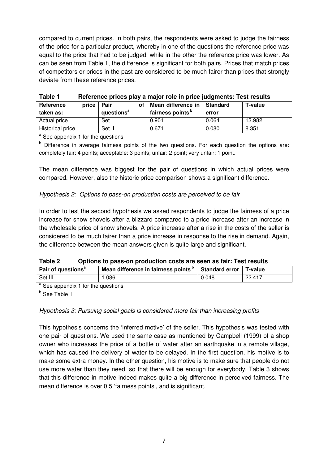compared to current prices. In both pairs, the respondents were asked to judge the fairness of the price for a particular product, whereby in one of the questions the reference price was equal to the price that had to be judged, while in the other the reference price was lower. As can be seen from Table 1, the difference is significant for both pairs. Prices that match prices of competitors or prices in the past are considered to be much fairer than prices that strongly deviate from these reference prices.

| I ANIC I           | <u>Helercine prices play a major rule in price judgments. Test results</u> |                              |            |                |  |  |  |  |
|--------------------|----------------------------------------------------------------------------|------------------------------|------------|----------------|--|--|--|--|
| Reference<br>price | Pair<br>οf                                                                 | Mean difference in           | l Standard | <b>T-value</b> |  |  |  |  |
| taken as:          | questions <sup>a</sup>                                                     | fairness points <sup>b</sup> | error      |                |  |  |  |  |
| Actual price       | Set I                                                                      | 0.901                        | 0.064      | 13.982         |  |  |  |  |
| Historical price   | Set II                                                                     | 0.671                        | 0.080      | 8.351          |  |  |  |  |

**Table 1 Reference prices play a major role in price judgments: Test results** 

<sup>a</sup> See appendix 1 for the questions

b Difference in average fairness points of the two questions. For each question the options are: completely fair: 4 points; acceptable: 3 points; unfair: 2 point; very unfair: 1 point.

The mean difference was biggest for the pair of questions in which actual prices were compared. However, also the historic price comparison shows a significant difference.

# *Hypothesis 2: Options to pass-on production costs are perceived to be fair*

In order to test the second hypothesis we asked respondents to judge the fairness of a price increase for snow shovels after a blizzard compared to a price increase after an increase in the wholesale price of snow shovels. A price increase after a rise in the costs of the seller is considered to be much fairer than a price increase in response to the rise in demand. Again, the difference between the mean answers given is quite large and significant.

| Table 2 | Options to pass-on production costs are seen as fair: Test results |
|---------|--------------------------------------------------------------------|
|---------|--------------------------------------------------------------------|

| Pair of questions <sup>a</sup> | Mean difference in fairness points <sup>b</sup> | Standard error | <b>T-value</b> |
|--------------------------------|-------------------------------------------------|----------------|----------------|
| Set III                        | .086                                            | 0.048          | 22.417         |
| $\sim$<br>$\cdots$             |                                                 |                |                |

<sup>a</sup> See appendix 1 for the questions <sup>b</sup> See Table 1

# *Hypothesis 3: Pursuing social goals is considered more fair than increasing profits*

This hypothesis concerns the 'inferred motive' of the seller. This hypothesis was tested with one pair of questions. We used the same case as mentioned by Campbell (1999) of a shop owner who increases the price of a bottle of water after an earthquake in a remote village, which has caused the delivery of water to be delayed. In the first question, his motive is to make some extra money. In the other question, his motive is to make sure that people do not use more water than they need, so that there will be enough for everybody. Table 3 shows that this difference in motive indeed makes quite a big difference in perceived fairness. The mean difference is over 0.5 'fairness points', and is significant.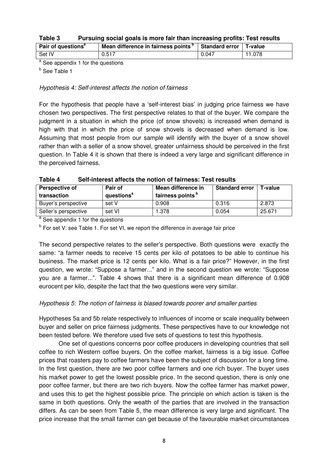| Table 3 |  |  |  | Pursuing social goals is more fair than increasing profits: Test results |
|---------|--|--|--|--------------------------------------------------------------------------|
|---------|--|--|--|--------------------------------------------------------------------------|

| Pair of questions <sup>a</sup> | Mean difference in fairness points <sup>p</sup> | Standard error | T-value |
|--------------------------------|-------------------------------------------------|----------------|---------|
| Set IV                         | 0.517                                           | 0.047          | 11.078  |
|                                |                                                 |                |         |

<sup>a</sup> See appendix 1 for the questions

<sup>b</sup> See Table 1

*Hypothesis 4: Self-interest affects the notion of fairness* 

For the hypothesis that people have a 'self-interest bias' in judging price fairness we have chosen two perspectives. The first perspective relates to that of the buyer. We compare the judgment in a situation in which the price (of snow shovels) is increased when demand is high with that in which the price of snow shovels is decreased when demand is low. Assuming that most people from our sample will identify with the buyer of a snow shovel rather than with a seller of a snow shovel, greater unfairness should be perceived in the first question. In Table 4 it is shown that there is indeed a very large and significant difference in the perceived fairness.

| Table 4 | Self-interest affects the notion of fairness: Test results |
|---------|------------------------------------------------------------|
|---------|------------------------------------------------------------|

| Perspective of<br>transaction | Pair of<br>questions <sup>a</sup> | Mean difference in<br>fairness points <sup>b</sup> | <b>Standard error</b> | T-value |
|-------------------------------|-----------------------------------|----------------------------------------------------|-----------------------|---------|
| Buyer's perspective           | set V                             | 0.908                                              | 0.316                 | 2.873   |
| Seller's perspective          | set VI                            | 1.378                                              | 0.054                 | 25.671  |

<sup>a</sup> See appendix 1 for the questions

<sup>b</sup> For set V: see Table 1. For set VI, we report the difference in average fair price

The second perspective relates to the seller's perspective. Both questions were exactly the same: "a farmer needs to receive 15 cents per kilo of potatoes to be able to continue his business. The market price is 12 cents per kilo. What is a fair price?" However, in the first question, we wrote: "Suppose a farmer..." and in the second question we wrote: "Suppose you are a farmer...". Table 4 shows that there is a significant mean difference of 0.908 eurocent per kilo, despite the fact that the two questions were very similar.

# *Hypothesis 5: The notion of fairness is biased towards poorer and smaller parties*

Hypotheses 5a and 5b relate respectively to influences of income or scale inequality between buyer and seller on price fairness judgments. These perspectives have to our knowledge not been tested before. We therefore used five sets of questions to test this hypothesis.

One set of questions concerns poor coffee producers in developing countries that sell coffee to rich Western coffee buyers. On the coffee market, fairness is a big issue. Coffee prices that roasters pay to coffee farmers have been the subject of discussion for a long time. In the first question, there are two poor coffee farmers and one rich buyer. The buyer uses his market power to get the lowest possible price. In the second question, there is only one poor coffee farmer, but there are two rich buyers. Now the coffee farmer has market power, and uses this to get the highest possible price. The principle on which action is taken is the same in both questions. Only the wealth of the parties that are involved in the transaction differs. As can be seen from Table 5, the mean difference is very large and significant. The price increase that the small farmer can get because of the favourable market circumstances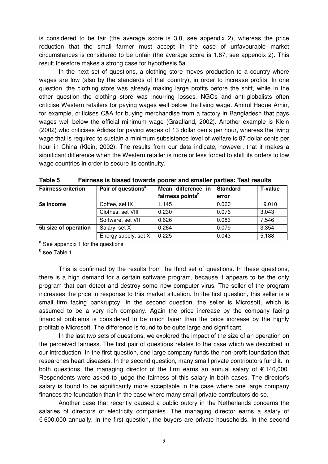is considered to be fair (the average score is 3.0, see appendix 2), whereas the price reduction that the small farmer must accept in the case of unfavourable market circumstances is considered to be unfair (the average score is 1.87, see appendix 2). This result therefore makes a strong case for hypothesis 5a.

In the next set of questions, a clothing store moves production to a country where wages are low (also by the standards of that country), in order to increase profits. In one question, the clothing store was already making large profits before the shift, while in the other question the clothing store was incurring losses. NGOs and anti-globalists often criticise Western retailers for paying wages well below the living wage. Amirul Haque Amin, for example, criticises C&A for buying merchandise from a factory in Bangladesh that pays wages well below the official minimum wage (Graafland, 2002). Another example is Klein (2002) who criticises Adidas for paying wages of 13 dollar cents per hour, whereas the living wage that is required to sustain a minimum subsistence level of welfare is 87 dollar cents per hour in China (Klein, 2002). The results from our data indicate, however, that it makes a significant difference when the Western retailer is more or less forced to shift its orders to low wage countries in order to secure its continuity.

| <b>Fairness criterion</b> | Pair of questions <sup>a</sup> | Mean difference in           | <b>Standard</b> | <b>T-value</b> |
|---------------------------|--------------------------------|------------------------------|-----------------|----------------|
|                           |                                | fairness points <sup>b</sup> | error           |                |
| 5a income                 | Coffee, set IX                 | 1.145                        | 0.060           | 19.010         |
|                           | Clothes, set VIII              | 0.230                        | 0.076           | 3.043          |
|                           | Software, set VII              | 0.626                        | 0.083           | 7.546          |
| 5b size of operation      | Salary, set X                  | 0.264                        | 0.079           | 3.354          |
|                           | Energy supply, set XI          | 0.225                        | 0.043           | 5.188          |

| Table 5<br>Fairness is biased towards poorer and smaller parties: Test results |  |  |
|--------------------------------------------------------------------------------|--|--|
|--------------------------------------------------------------------------------|--|--|

<sup>a</sup> See appendix 1 for the questions

<sup>b</sup> See Table 1

This is confirmed by the results from the third set of questions. In these questions, there is a high demand for a certain software program, because it appears to be the only program that can detect and destroy some new computer virus. The seller of the program increases the price in response to this market situation. In the first question, this seller is a small firm facing bankruptcy. In the second question, the seller is Microsoft, which is assumed to be a very rich company. Again the price increase by the company facing financial problems is considered to be much fairer than the price increase by the highly profitable Microsoft. The difference is found to be quite large and significant.

In the last two sets of questions, we explored the impact of the size of an operation on the perceived fairness. The first pair of questions relates to the case which we described in our introduction. In the first question, one large company funds the non-profit foundation that researches heart diseases. In the second question, many small private contributors fund it. In both questions, the managing director of the firm earns an annual salary of  $\epsilon$  140,000. Respondents were asked to judge the fairness of this salary in both cases. The director's salary is found to be significantly more acceptable in the case where one large company finances the foundation than in the case where many small private contributors do so.

Another case that recently caused a public outcry in the Netherlands concerns the salaries of directors of electricity companies. The managing director earns a salary of  $\epsilon$  600,000 annually. In the first question, the buyers are private households. In the second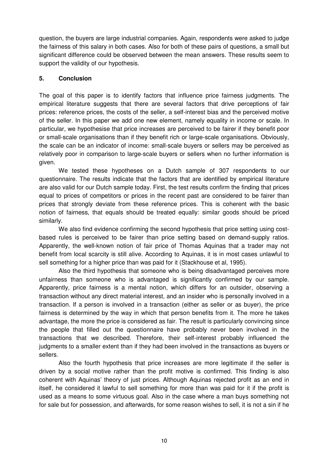question, the buyers are large industrial companies. Again, respondents were asked to judge the fairness of this salary in both cases. Also for both of these pairs of questions, a small but significant difference could be observed between the mean answers. These results seem to support the validity of our hypothesis.

# **5. Conclusion**

The goal of this paper is to identify factors that influence price fairness judgments. The empirical literature suggests that there are several factors that drive perceptions of fair prices: reference prices, the costs of the seller, a self-interest bias and the perceived motive of the seller. In this paper we add one new element, namely equality in income or scale. In particular, we hypothesise that price increases are perceived to be fairer if they benefit poor or small-scale organisations than if they benefit rich or large-scale organisations. Obviously, the scale can be an indicator of income: small-scale buyers or sellers may be perceived as relatively poor in comparison to large-scale buyers or sellers when no further information is given.

We tested these hypotheses on a Dutch sample of 307 respondents to our questionnaire. The results indicate that the factors that are identified by empirical literature are also valid for our Dutch sample today. First, the test results confirm the finding that prices equal to prices of competitors or prices in the recent past are considered to be fairer than prices that strongly deviate from these reference prices. This is coherent with the basic notion of fairness, that equals should be treated equally: similar goods should be priced similarly.

We also find evidence confirming the second hypothesis that price setting using costbased rules is perceived to be fairer than price setting based on demand-supply ratios. Apparently, the well-known notion of fair price of Thomas Aquinas that a trader may not benefit from local scarcity is still alive. According to Aquinas, it is in most cases unlawful to sell something for a higher price than was paid for it (Stackhouse et al, 1995).

Also the third hypothesis that someone who is being disadvantaged perceives more unfairness than someone who is advantaged is significantly confirmed by our sample. Apparently, price fairness is a mental notion, which differs for an outsider, observing a transaction without any direct material interest, and an insider who is personally involved in a transaction. If a person is involved in a transaction (either as seller or as buyer), the price fairness is determined by the way in which that person benefits from it. The more he takes advantage, the more the price is considered as fair. The result is particularly convincing since the people that filled out the questionnaire have probably never been involved in the transactions that we described. Therefore, their self-interest probably influenced the judgments to a smaller extent than if they had been involved in the transactions as buyers or sellers.

Also the fourth hypothesis that price increases are more legitimate if the seller is driven by a social motive rather than the profit motive is confirmed. This finding is also coherent with Aquinas' theory of just prices. Although Aquinas rejected profit as an end in itself, he considered it lawful to sell something for more than was paid for it if the profit is used as a means to some virtuous goal. Also in the case where a man buys something not for sale but for possession, and afterwards, for some reason wishes to sell, it is not a sin if he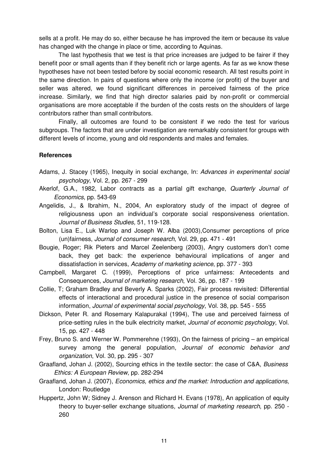sells at a profit. He may do so, either because he has improved the item or because its value has changed with the change in place or time, according to Aquinas.

The last hypothesis that we test is that price increases are judged to be fairer if they benefit poor or small agents than if they benefit rich or large agents. As far as we know these hypotheses have not been tested before by social economic research. All test results point in the same direction. In pairs of questions where only the income (or profit) of the buyer and seller was altered, we found significant differences in perceived fairness of the price increase. Similarly, we find that high director salaries paid by non-profit or commercial organisations are more acceptable if the burden of the costs rests on the shoulders of large contributors rather than small contributors.

Finally, all outcomes are found to be consistent if we redo the test for various subgroups. The factors that are under investigation are remarkably consistent for groups with different levels of income, young and old respondents and males and females.

#### **References**

- Adams, J. Stacey (1965), Inequity in social exchange*,* In: *Advances in experimental social psychology*, Vol. 2, pp. 267 - 299
- Akerlof, G.A., 1982, Labor contracts as a partial gift exchange, *Quarterly Journal of Economics*, pp. 543-69
- Angelidis, J., & Ibrahim, N., 2004, An exploratory study of the impact of degree of religiousness upon an individual's corporate social responsiveness orientation. *Journal of Business Studies,* 51, 119-128.
- Bolton, Lisa E., Luk Warlop and Joseph W. Alba (2003),Consumer perceptions of price (un)fairness, *Journal of consumer research*, Vol. 29, pp. 471 - 491
- Bougie, Roger; Rik Pieters and Marcel Zeelenberg (2003), Angry customers don't come back, they get back: the experience behavioural implications of anger and dissatisfaction in services, *Academy of marketing science*, pp. 377 - 393
- Campbell, Margaret C. (1999), Perceptions of price unfairness: Antecedents and Consequences, *Journal of marketing research*, Vol. 36, pp. 187 - 199
- Collie, T; Graham Bradley and Beverly A. Sparks (2002), Fair process revisited: Differential effects of interactional and procedural justice in the presence of social comparison information, *Journal of experimental social psychology*, Vol. 38, pp. 545 - 555
- Dickson, Peter R. and Rosemary Kalapurakal (1994), The use and perceived fairness of price-setting rules in the bulk electricity market, *Journal of economic psychology*, Vol. 15, pp. 427 - 448
- Frey, Bruno S. and Werner W. Pommerehne (1993), On the fairness of pricing an empirical survey among the general population, *Journal of economic behavior and organization*, Vol. 30, pp. 295 - 307
- Graafland, Johan J. (2002), Sourcing ethics in the textile sector: the case of C&A, *Business Ethics: A European Review*, pp. 282-294
- Graafland, Johan J. (2007), *Economics, ethics and the market: Introduction and applications*, London: Routledge
- Huppertz, John W; Sidney J. Arenson and Richard H. Evans (1978), An application of equity theory to buyer-seller exchange situations*, Journal of marketing research*, pp. 250 - 260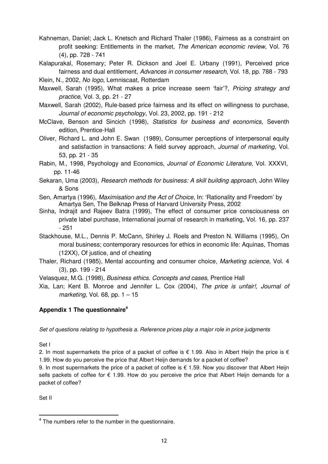- profit seeking: Entitlements in the market*, The American economic review*, Vol. 76 (4), pp. 728 - 741
- Kalapurakal, Rosemary; Peter R. Dickson and Joel E. Urbany (1991), Perceived price fairness and dual entitlement, *Advances in consumer research*, Vol. 18, pp. 788 - 793
- Klein, N., 2002, *No logo*, Lemniscaat, Rotterdam
- Maxwell, Sarah (1995), What makes a price increase seem 'fair'?, *Pricing strategy and practice*, Vol. 3, pp. 21 - 27
- Maxwell, Sarah (2002), Rule-based price fairness and its effect on willingness to purchase, *Journal of economic psychology*, Vol. 23, 2002, pp. 191 - 212
- McClave, Benson and Sincich (1998), *Statistics for business and economics*, Seventh edition, Prentice-Hall
- Kahneman, Daniel; Jack L. Knetsch and Richard Thaler (1986), Fairness as a constraint on the p. 726 724<br>
In principal and entirelies mention and Jone E. Urbury (1991). Purcolved prior<br>
Kaikapurakai. Rosemany: Peter R. D Oliver, Richard L. and John E. Swan (1989), Consumer perceptions of interpersonal equity and satisfaction in transactions: A field survey approach*, Journal of marketing*, Vol. 53, pp. 21 - 35
- Rabin, M., 1998, Psychology and Economics, *Journal of Economic Literature*, Vol. XXXVI, pp. 11-46
- Sekaran, Uma (2003), *Research methods for business: A skill building approach*, John Wiley & Sons
- Sen, Amartya (1996), *Maximisation and the Act of Choice,* In: 'Rationality and Freedom' by Amartya Sen, The Belknap Press of Harvard University Press, 2002
- Sinha, Indrajit and Rajeev Batra (1999), The effect of consumer price consciousness on private label purchase, International journal of research in marketing, Vol. 16, pp. 237 - 251
- Stackhouse, M.L., Dennis P. McCann, Shirley J. Roels and Preston N. Williams (1995), On moral business; contemporary resources for ethics in economic life: Aquinas, Thomas (12XX), Of justice, and of cheating
- Thaler, Richard (1985), Mental accounting and consumer choice*, Marketing science*, Vol. 4 (3), pp. 199 - 214
- Velasquez, M.G. (1998), *Business ethics. Concepts and cases*, Prentice Hall
- Xia, Lan; Kent B. Monroe and Jennifer L. Cox (2004), *The price is unfair!, Journal of marketing*, Vol. 68, pp. 1 – 15

# **Appendix 1 The questionnaire<sup>4</sup>**

*Set of questions relating to hypothesis a. Reference prices play a major role in price judgments* 

Set I

2. In most supermarkets the price of a packet of coffee is  $\epsilon$  1.99. Also in Albert Heijn the price is  $\epsilon$ 1.99. How do you perceive the price that Albert Heijn demands for a packet of coffee?

9. In most supermarkets the price of a packet of coffee is  $\epsilon$  1.59. Now you discover that Albert Heijn sells packets of coffee for € 1.99. How do you perceive the price that Albert Heijn demands for a packet of coffee?

Set II

<sup>&</sup>lt;sup>4</sup> The numbers refer to the number in the questionnaire.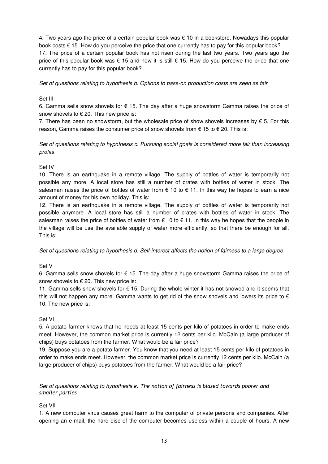4. Two years ago the price of a certain popular book was € 10 in a bookstore. Nowadays this popular book costs € 15. How do you perceive the price that one currently has to pay for this popular book? 17. The price of a certain popular book has not risen during the last two years. Two years ago the price of this popular book was  $\epsilon$  15 and now it is still  $\epsilon$  15. How do you perceive the price that one currently has to pay for this popular book?

*Set of questions relating to hypothesis b. Options to pass-on production costs are seen as fair* 

#### Set III

6. Gamma sells snow shovels for  $\epsilon$  15. The day after a huge snowstorm Gamma raises the price of snow shovels to  $\epsilon$  20. This new price is:

7. There has been no snowstorm, but the wholesale price of show shovels increases by  $\epsilon$  5. For this reason, Gamma raises the consumer price of snow shovels from  $\epsilon$  15 to  $\epsilon$  20. This is:

*Set of questions relating to hypothesis c. Pursuing social goals is considered more fair than increasing profits* 

#### Set IV

10. There is an earthquake in a remote village. The supply of bottles of water is temporarily not possible any more. A local store has still a number of crates with bottles of water in stock. The salesman raises the price of bottles of water from  $\epsilon$  10 to  $\epsilon$  11. In this way he hopes to earn a nice amount of money for his own holiday. This is:

12. There is an earthquake in a remote village. The supply of bottles of water is temporarily not possible anymore. A local store has still a number of crates with bottles of water in stock. The salesman raises the price of bottles of water from  $\epsilon$  10 to  $\epsilon$  11. In this way he hopes that the people in the village will be use the available supply of water more efficiently, so that there be enough for all. This is:

*Set of questions relating to hypothesis d. Self-interest affects the notion of fairness to a large degree* 

#### Set V

6. Gamma sells snow shovels for € 15. The day after a huge snowstorm Gamma raises the price of snow shovels to  $\epsilon$  20. This new price is:

11. Gamma sells snow shovels for € 15. During the whole winter it has not snowed and it seems that this will not happen any more. Gamma wants to get rid of the snow shovels and lowers its price to  $\epsilon$ 10. The new price is:

#### Set VI

5. A potato farmer knows that he needs at least 15 cents per kilo of potatoes in order to make ends meet. However, the common market price is currently 12 cents per kilo. McCain (a large producer of chips) buys potatoes from the farmer. What would be a fair price?

19. Suppose you are a potato farmer. You know that you need at least 15 cents per kilo of potatoes in order to make ends meet. However, the common market price is currently 12 cents per kilo. McCain (a large producer of chips) buys potatoes from the farmer. What would be a fair price?

#### Set of questions relating to hypothesis e. The notion of fairness is biased towards poorer and smaller parties

### Set VII

1. A new computer virus causes great harm to the computer of private persons and companies. After opening an e-mail, the hard disc of the computer becomes useless within a couple of hours. A new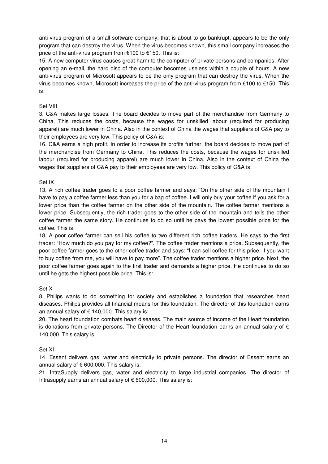anti-virus program of a small software company, that is about to go bankrupt, appears to be the only program that can destroy the virus. When the virus becomes known, this small company increases the price of the anti-virus program from €100 to €150. This is:

15. A new computer virus causes great harm to the computer of private persons and companies. After opening an e-mail, the hard disc of the computer becomes useless within a couple of hours. A new anti-virus program of Microsoft appears to be the only program that can destroy the virus. When the virus becomes known, Microsoft increases the price of the anti-virus program from  $\epsilon$ 100 to  $\epsilon$ 150. This is:

### Set VIII

3. C&A makes large losses. The board decides to move part of the merchandise from Germany to China. This reduces the costs, because the wages for unskilled labour (required for producing apparel) are much lower in China. Also in the context of China the wages that suppliers of C&A pay to their employees are very low. This policy of C&A is:

16. C&A earns a high profit. In order to increase its profits further, the board decides to move part of the merchandise from Germany to China. This reduces the costs, because the wages for unskilled labour (required for producing apparel) are much lower in China. Also in the context of China the wages that suppliers of C&A pay to their employees are very low. This policy of C&A is:

### Set IX

13. A rich coffee trader goes to a poor coffee farmer and says: "On the other side of the mountain I have to pay a coffee farmer less than you for a bag of coffee. I will only buy your coffee if you ask for a lower price than the coffee farmer on the other side of the mountain. The coffee farmer mentions a lower price. Subsequently, the rich trader goes to the other side of the mountain and tells the other coffee farmer the same story. He continues to do so until he pays the lowest possible price for the coffee. This is:

18. A poor coffee farmer can sell his coffee to two different rich coffee traders. He says to the first trader: "How much do you pay for my coffee?". The coffee trader mentions a price. Subsequently, the poor coffee farmer goes to the other coffee trader and says: "I can sell coffee for this price. If you want to buy coffee from me, you will have to pay more". The coffee trader mentions a higher price. Next, the poor coffee farmer goes again to the first trader and demands a higher price. He continues to do so until he gets the highest possible price. This is:

### Set X

8. Philips wants to do something for society and establishes a foundation that researches heart diseases. Philips provides all financial means for this foundation. The director of this foundation earns an annual salary of  $\epsilon$  140,000. This salary is:

20. The heart foundation combats heart diseases. The main source of income of the Heart foundation is donations from private persons. The Director of the Heart foundation earns an annual salary of  $\epsilon$ 140,000. This salary is:

### Set XI

14. Essent delivers gas, water and electricity to private persons. The director of Essent earns an annual salary of  $\epsilon$  600,000. This salary is:

21. IntraSupply delivers gas, water and electricity to large industrial companies. The director of Intrasupply earns an annual salary of € 600,000. This salary is: